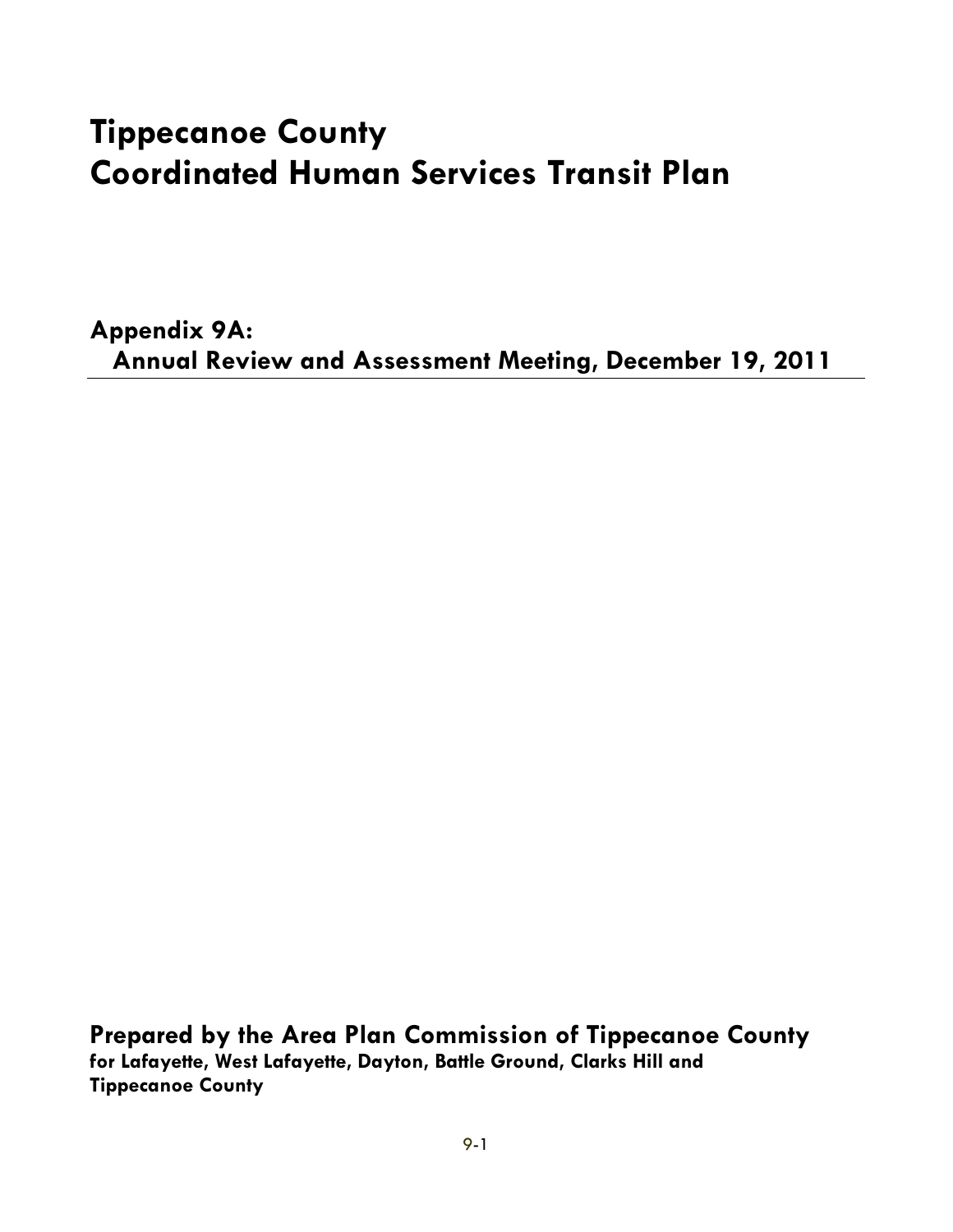# **Tippecanoe County Coordinated Human Services Transit Plan**

**Appendix 9A: Annual Review and Assessment Meeting, December 19, 2011**

**Prepared by the Area Plan Commission of Tippecanoe County for Lafayette, West Lafayette, Dayton, Battle Ground, Clarks Hill and Tippecanoe County**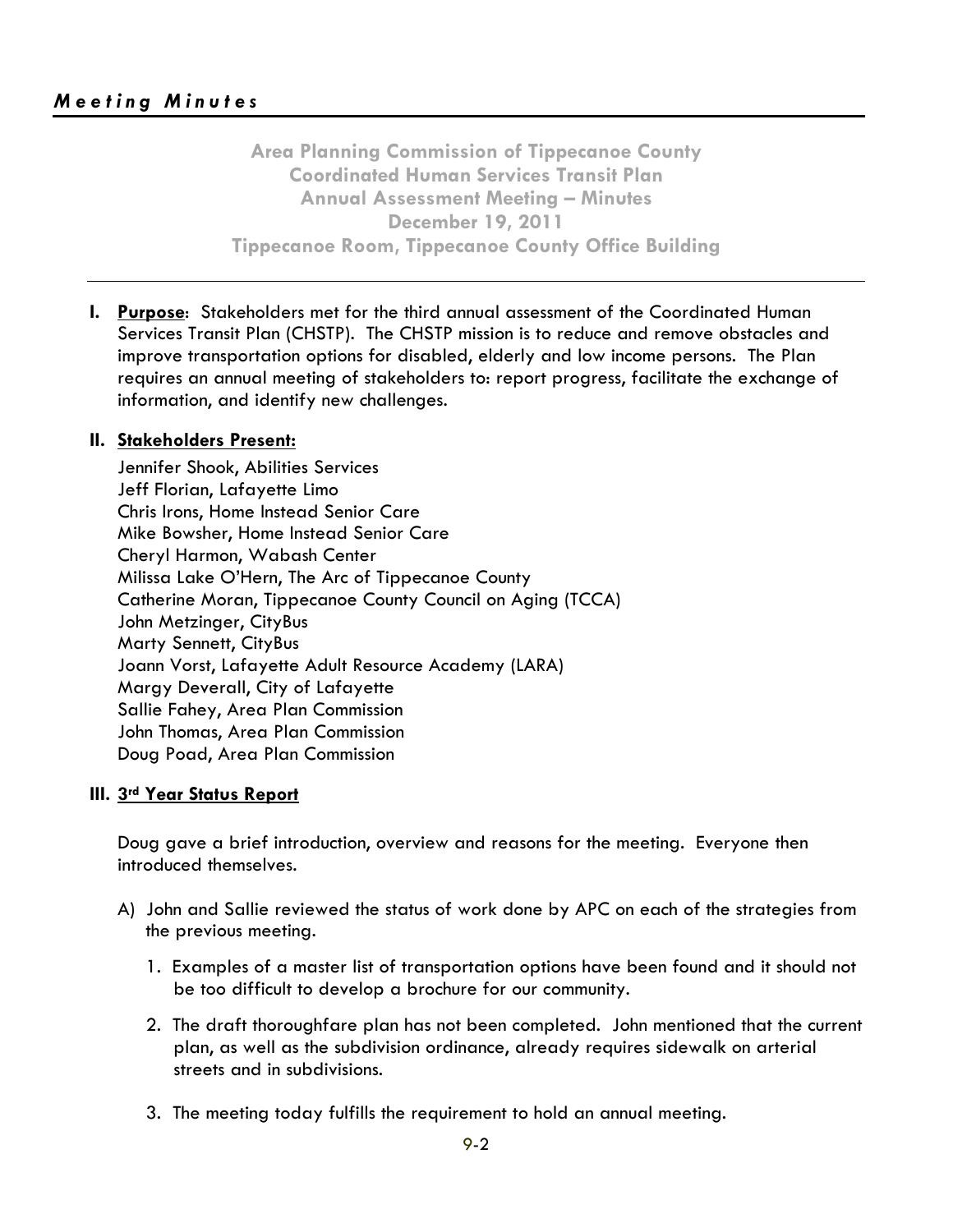**Area Planning Commission of Tippecanoe County Coordinated Human Services Transit Plan Annual Assessment Meeting – Minutes December 19, 2011 Tippecanoe Room, Tippecanoe County Office Building**

**I. Purpose**: Stakeholders met for the third annual assessment of the Coordinated Human Services Transit Plan (CHSTP). The CHSTP mission is to reduce and remove obstacles and improve transportation options for disabled, elderly and low income persons. The Plan requires an annual meeting of stakeholders to: report progress, facilitate the exchange of information, and identify new challenges.

### **II. Stakeholders Present:**

Jennifer Shook, Abilities Services Jeff Florian, Lafayette Limo Chris Irons, Home Instead Senior Care Mike Bowsher, Home Instead Senior Care Cheryl Harmon, Wabash Center Milissa Lake O'Hern, The Arc of Tippecanoe County Catherine Moran, Tippecanoe County Council on Aging (TCCA) John Metzinger, CityBus Marty Sennett, CityBus Joann Vorst, Lafayette Adult Resource Academy (LARA) Margy Deverall, City of Lafayette Sallie Fahey, Area Plan Commission John Thomas, Area Plan Commission Doug Poad, Area Plan Commission

#### **III. 3rd Year Status Report**

Doug gave a brief introduction, overview and reasons for the meeting. Everyone then introduced themselves.

- A) John and Sallie reviewed the status of work done by APC on each of the strategies from the previous meeting.
	- 1. Examples of a master list of transportation options have been found and it should not be too difficult to develop a brochure for our community.
	- 2. The draft thoroughfare plan has not been completed. John mentioned that the current plan, as well as the subdivision ordinance, already requires sidewalk on arterial streets and in subdivisions.
	- 3. The meeting today fulfills the requirement to hold an annual meeting.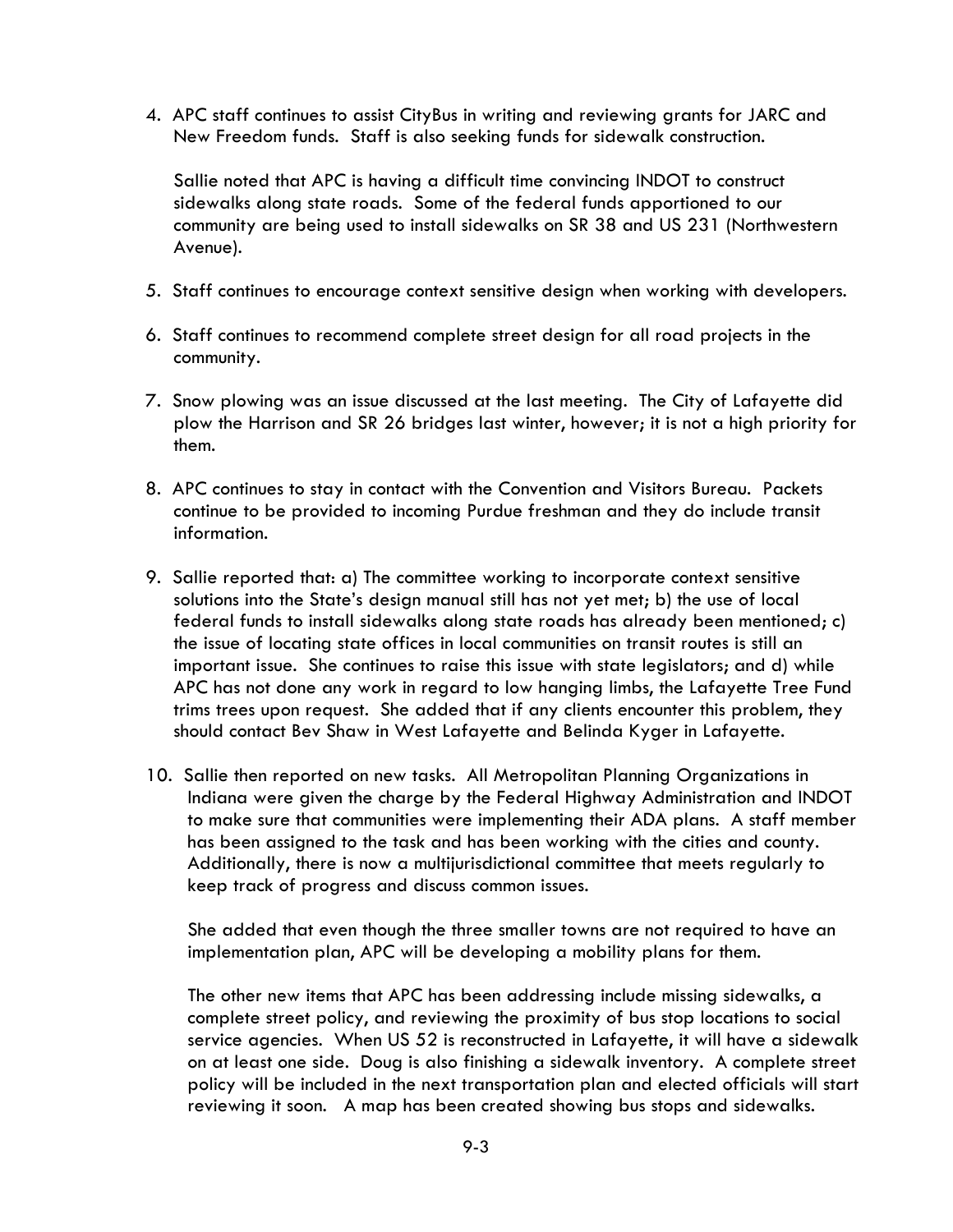4. APC staff continues to assist CityBus in writing and reviewing grants for JARC and New Freedom funds. Staff is also seeking funds for sidewalk construction.

Sallie noted that APC is having a difficult time convincing INDOT to construct sidewalks along state roads. Some of the federal funds apportioned to our community are being used to install sidewalks on SR 38 and US 231 (Northwestern Avenue).

- 5. Staff continues to encourage context sensitive design when working with developers.
- 6. Staff continues to recommend complete street design for all road projects in the community.
- 7. Snow plowing was an issue discussed at the last meeting. The City of Lafayette did plow the Harrison and SR 26 bridges last winter, however; it is not a high priority for them.
- 8. APC continues to stay in contact with the Convention and Visitors Bureau. Packets continue to be provided to incoming Purdue freshman and they do include transit information.
- 9. Sallie reported that: a) The committee working to incorporate context sensitive solutions into the State's design manual still has not yet met; b) the use of local federal funds to install sidewalks along state roads has already been mentioned; c) the issue of locating state offices in local communities on transit routes is still an important issue. She continues to raise this issue with state legislators; and d) while APC has not done any work in regard to low hanging limbs, the Lafayette Tree Fund trims trees upon request. She added that if any clients encounter this problem, they should contact Bev Shaw in West Lafayette and Belinda Kyger in Lafayette.
- 10. Sallie then reported on new tasks. All Metropolitan Planning Organizations in Indiana were given the charge by the Federal Highway Administration and INDOT to make sure that communities were implementing their ADA plans. A staff member has been assigned to the task and has been working with the cities and county. Additionally, there is now a multijurisdictional committee that meets regularly to keep track of progress and discuss common issues.

She added that even though the three smaller towns are not required to have an implementation plan, APC will be developing a mobility plans for them.

The other new items that APC has been addressing include missing sidewalks, a complete street policy, and reviewing the proximity of bus stop locations to social service agencies. When US 52 is reconstructed in Lafayette, it will have a sidewalk on at least one side. Doug is also finishing a sidewalk inventory. A complete street policy will be included in the next transportation plan and elected officials will start reviewing it soon. A map has been created showing bus stops and sidewalks.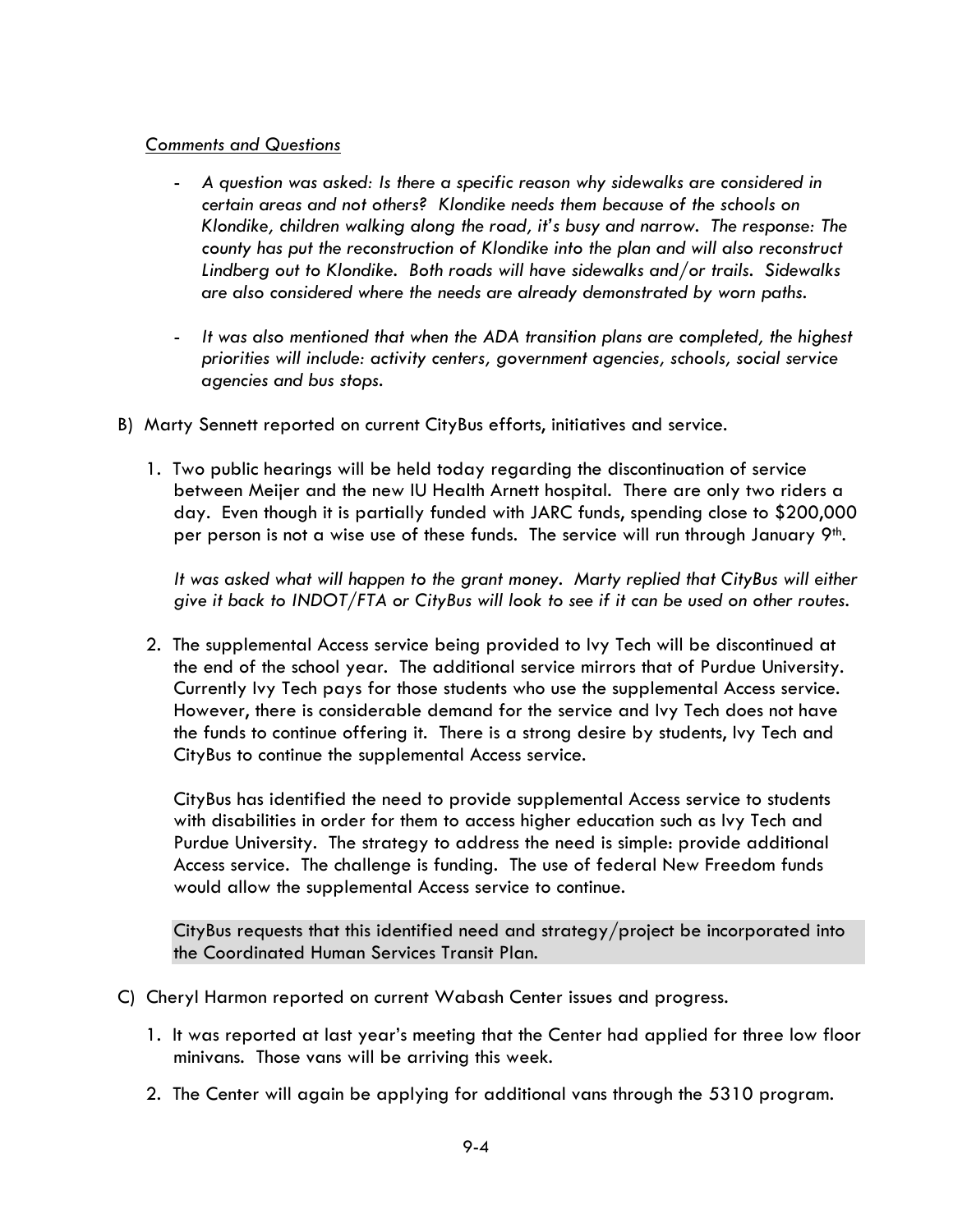#### *Comments and Questions*

- *A question was asked: Is there a specific reason why sidewalks are considered in certain areas and not others? Klondike needs them because of the schools on Klondike, children walking along the road, it's busy and narrow. The response: The county has put the reconstruction of Klondike into the plan and will also reconstruct Lindberg out to Klondike. Both roads will have sidewalks and/or trails. Sidewalks are also considered where the needs are already demonstrated by worn paths.*
- *It was also mentioned that when the ADA transition plans are completed, the highest priorities will include: activity centers, government agencies, schools, social service agencies and bus stops.*
- B) Marty Sennett reported on current CityBus efforts, initiatives and service.
	- 1. Two public hearings will be held today regarding the discontinuation of service between Meijer and the new IU Health Arnett hospital. There are only two riders a day. Even though it is partially funded with JARC funds, spending close to \$200,000 per person is not a wise use of these funds. The service will run through January  $9<sup>th</sup>$ .

*It was asked what will happen to the grant money. Marty replied that CityBus will either give it back to INDOT/FTA or CityBus will look to see if it can be used on other routes.* 

2. The supplemental Access service being provided to Ivy Tech will be discontinued at the end of the school year. The additional service mirrors that of Purdue University. Currently Ivy Tech pays for those students who use the supplemental Access service. However, there is considerable demand for the service and Ivy Tech does not have the funds to continue offering it. There is a strong desire by students, Ivy Tech and CityBus to continue the supplemental Access service.

CityBus has identified the need to provide supplemental Access service to students with disabilities in order for them to access higher education such as Ivy Tech and Purdue University. The strategy to address the need is simple: provide additional Access service. The challenge is funding. The use of federal New Freedom funds would allow the supplemental Access service to continue.

CityBus requests that this identified need and strategy/project be incorporated into the Coordinated Human Services Transit Plan.

- C) Cheryl Harmon reported on current Wabash Center issues and progress.
	- 1. It was reported at last year's meeting that the Center had applied for three low floor minivans. Those vans will be arriving this week.
	- 2. The Center will again be applying for additional vans through the 5310 program.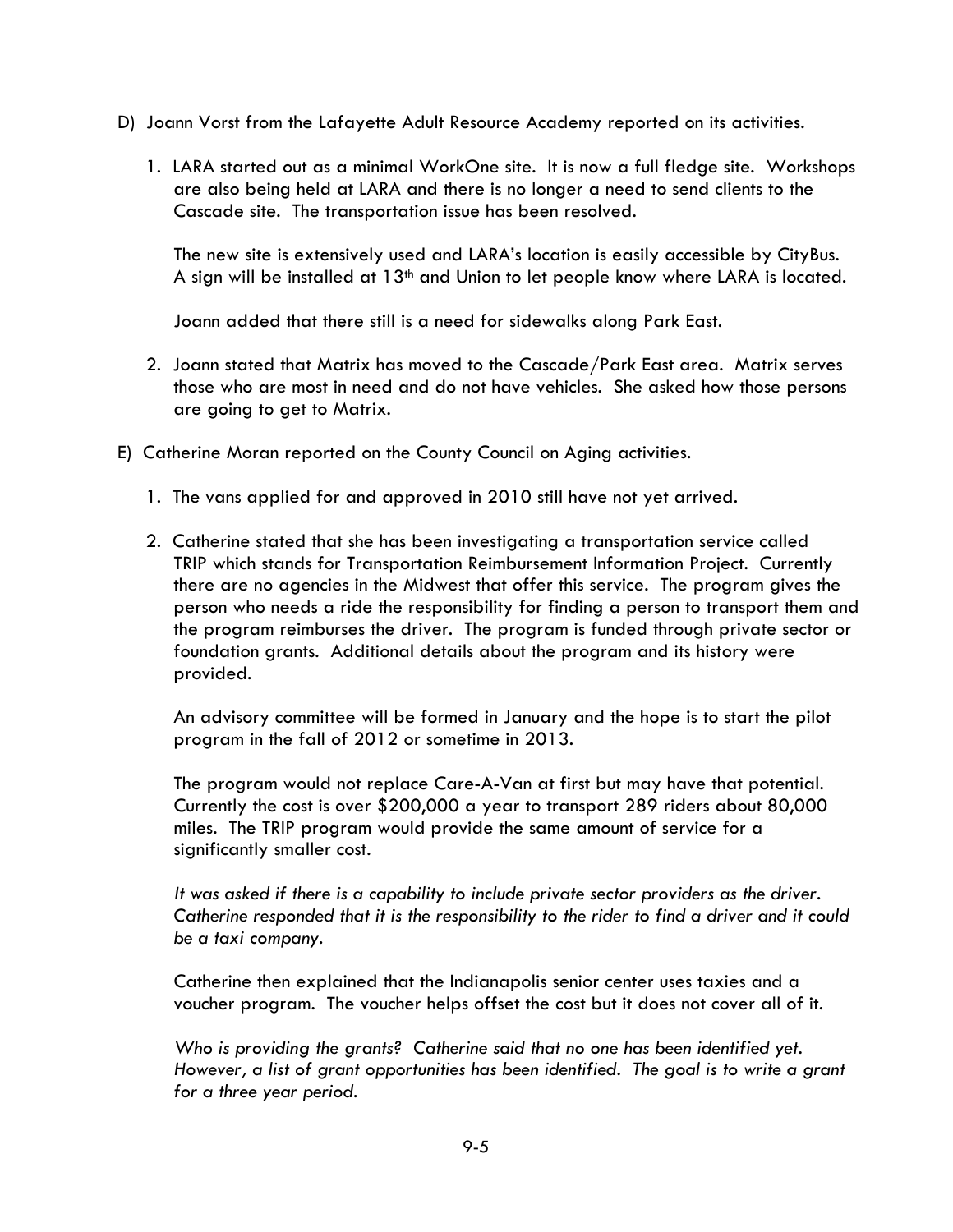- D) Joann Vorst from the Lafayette Adult Resource Academy reported on its activities.
	- 1. LARA started out as a minimal WorkOne site. It is now a full fledge site. Workshops are also being held at LARA and there is no longer a need to send clients to the Cascade site. The transportation issue has been resolved.

The new site is extensively used and LARA's location is easily accessible by CityBus. A sign will be installed at  $13<sup>th</sup>$  and Union to let people know where LARA is located.

Joann added that there still is a need for sidewalks along Park East.

- 2. Joann stated that Matrix has moved to the Cascade/Park East area. Matrix serves those who are most in need and do not have vehicles. She asked how those persons are going to get to Matrix.
- E) Catherine Moran reported on the County Council on Aging activities.
	- 1. The vans applied for and approved in 2010 still have not yet arrived.
	- 2. Catherine stated that she has been investigating a transportation service called TRIP which stands for Transportation Reimbursement Information Project. Currently there are no agencies in the Midwest that offer this service. The program gives the person who needs a ride the responsibility for finding a person to transport them and the program reimburses the driver. The program is funded through private sector or foundation grants. Additional details about the program and its history were provided.

An advisory committee will be formed in January and the hope is to start the pilot program in the fall of 2012 or sometime in 2013.

The program would not replace Care-A-Van at first but may have that potential. Currently the cost is over \$200,000 a year to transport 289 riders about 80,000 miles. The TRIP program would provide the same amount of service for a significantly smaller cost.

*It was asked if there is a capability to include private sector providers as the driver. Catherine responded that it is the responsibility to the rider to find a driver and it could be a taxi company.* 

Catherine then explained that the Indianapolis senior center uses taxies and a voucher program. The voucher helps offset the cost but it does not cover all of it.

*Who is providing the grants? Catherine said that no one has been identified yet. However, a list of grant opportunities has been identified. The goal is to write a grant for a three year period.*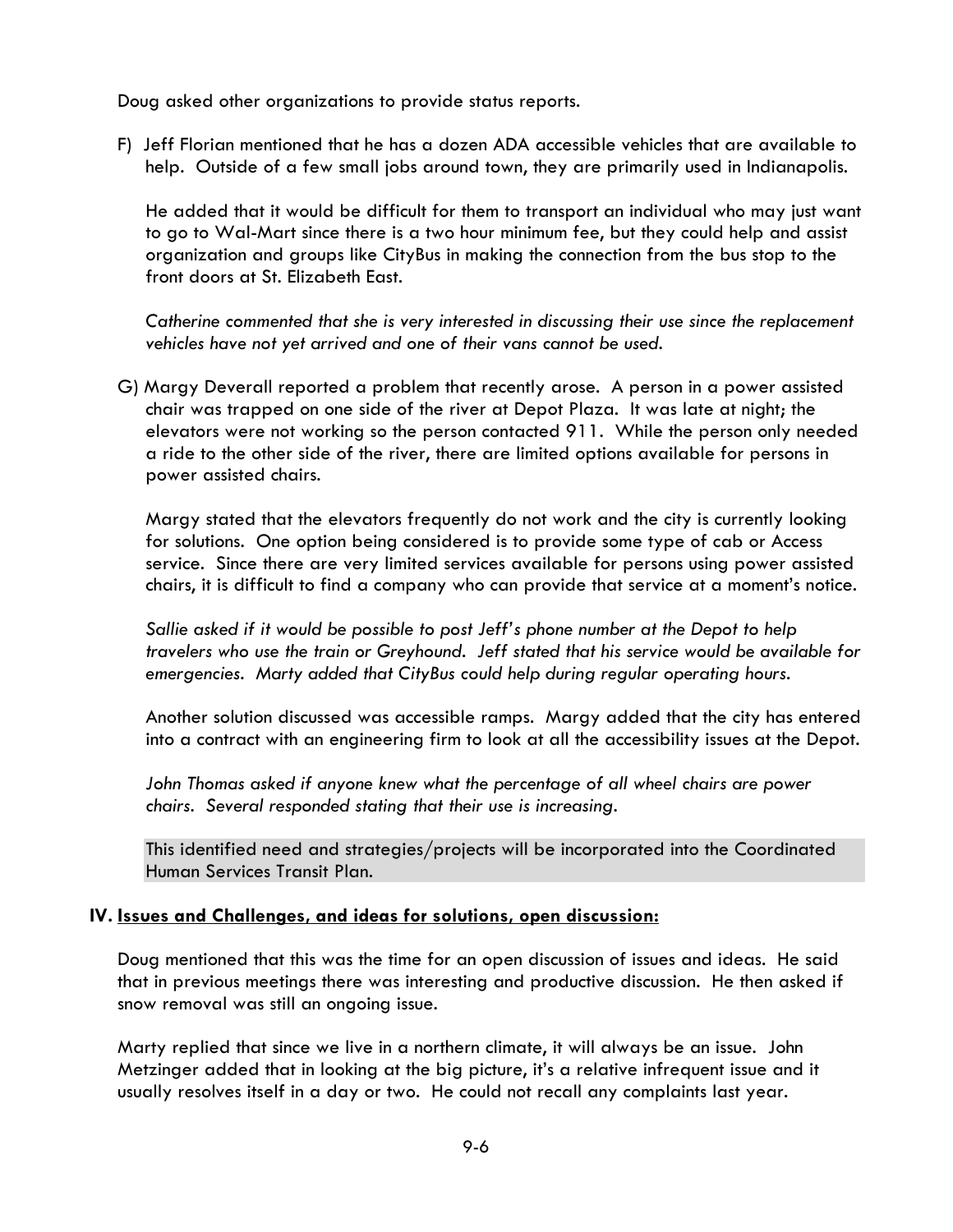Doug asked other organizations to provide status reports.

F) Jeff Florian mentioned that he has a dozen ADA accessible vehicles that are available to help. Outside of a few small jobs around town, they are primarily used in Indianapolis.

He added that it would be difficult for them to transport an individual who may just want to go to Wal-Mart since there is a two hour minimum fee, but they could help and assist organization and groups like CityBus in making the connection from the bus stop to the front doors at St. Elizabeth East.

*Catherine commented that she is very interested in discussing their use since the replacement vehicles have not yet arrived and one of their vans cannot be used.* 

G) Margy Deverall reported a problem that recently arose. A person in a power assisted chair was trapped on one side of the river at Depot Plaza. It was late at night; the elevators were not working so the person contacted 911. While the person only needed a ride to the other side of the river, there are limited options available for persons in power assisted chairs.

Margy stated that the elevators frequently do not work and the city is currently looking for solutions. One option being considered is to provide some type of cab or Access service. Since there are very limited services available for persons using power assisted chairs, it is difficult to find a company who can provide that service at a moment's notice.

*Sallie asked if it would be possible to post Jeff's phone number at the Depot to help travelers who use the train or Greyhound. Jeff stated that his service would be available for emergencies. Marty added that CityBus could help during regular operating hours.* 

Another solution discussed was accessible ramps. Margy added that the city has entered into a contract with an engineering firm to look at all the accessibility issues at the Depot.

*John Thomas asked if anyone knew what the percentage of all wheel chairs are power chairs. Several responded stating that their use is increasing.* 

This identified need and strategies/projects will be incorporated into the Coordinated Human Services Transit Plan.

#### **IV. Issues and Challenges, and ideas for solutions, open discussion:**

Doug mentioned that this was the time for an open discussion of issues and ideas. He said that in previous meetings there was interesting and productive discussion. He then asked if snow removal was still an ongoing issue.

Marty replied that since we live in a northern climate, it will always be an issue. John Metzinger added that in looking at the big picture, it's a relative infrequent issue and it usually resolves itself in a day or two. He could not recall any complaints last year.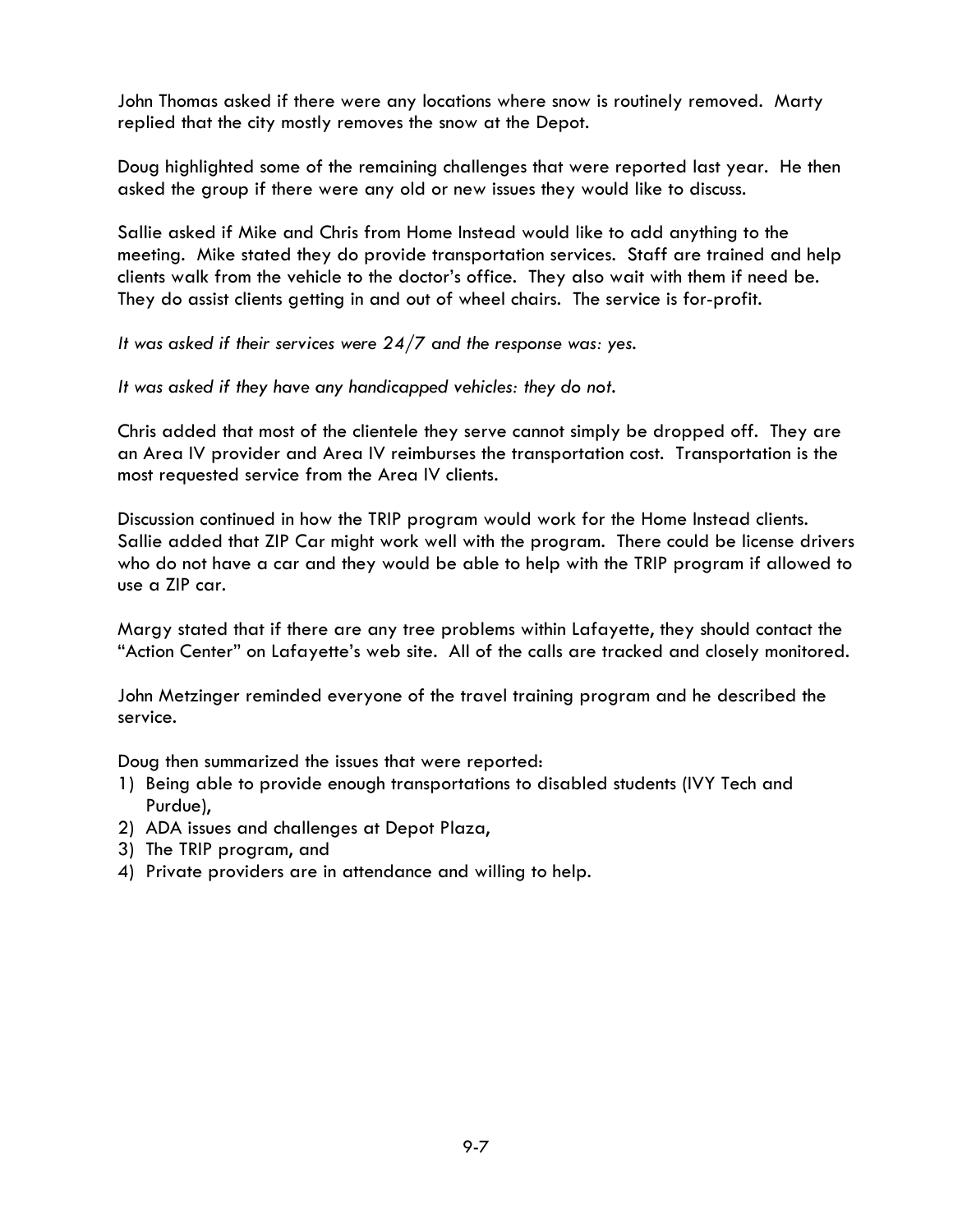John Thomas asked if there were any locations where snow is routinely removed. Marty replied that the city mostly removes the snow at the Depot.

Doug highlighted some of the remaining challenges that were reported last year. He then asked the group if there were any old or new issues they would like to discuss.

Sallie asked if Mike and Chris from Home Instead would like to add anything to the meeting. Mike stated they do provide transportation services. Staff are trained and help clients walk from the vehicle to the doctor's office. They also wait with them if need be. They do assist clients getting in and out of wheel chairs. The service is for-profit.

*It was asked if their services were 24/7 and the response was: yes.* 

*It was asked if they have any handicapped vehicles: they do not.* 

Chris added that most of the clientele they serve cannot simply be dropped off. They are an Area IV provider and Area IV reimburses the transportation cost. Transportation is the most requested service from the Area IV clients.

Discussion continued in how the TRIP program would work for the Home Instead clients. Sallie added that ZIP Car might work well with the program. There could be license drivers who do not have a car and they would be able to help with the TRIP program if allowed to use a ZIP car.

Margy stated that if there are any tree problems within Lafayette, they should contact the "Action Center" on Lafayette's web site. All of the calls are tracked and closely monitored.

John Metzinger reminded everyone of the travel training program and he described the service.

Doug then summarized the issues that were reported:

- 1) Being able to provide enough transportations to disabled students (IVY Tech and Purdue),
- 2) ADA issues and challenges at Depot Plaza,
- 3) The TRIP program, and
- 4) Private providers are in attendance and willing to help.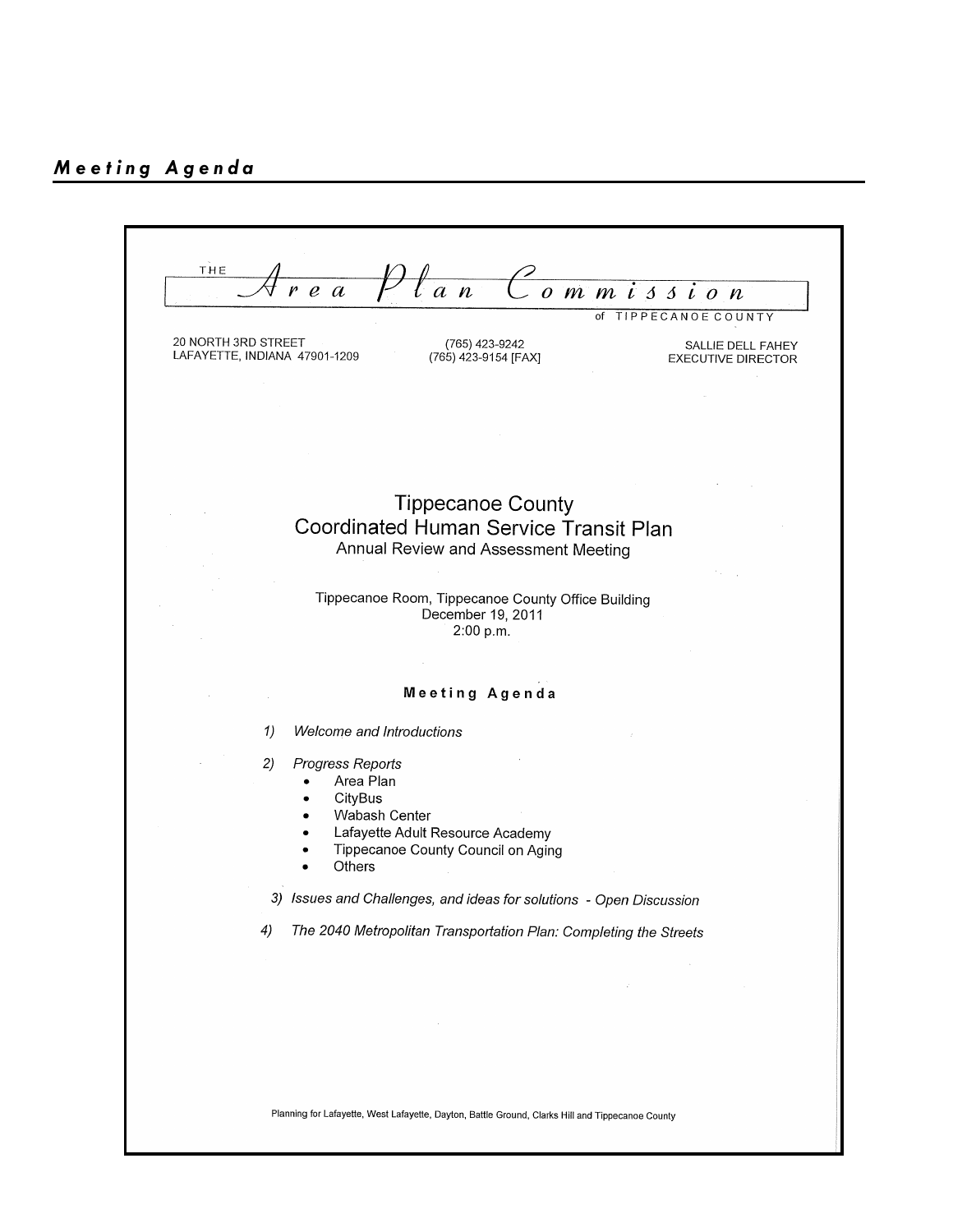THE  $\mathcal C$  ommission  $\sqrt[n]{a\,n}$  $r e a$ of TIPPECANOE COUNTY 20 NORTH 3RD STREET (765) 423-9242 SALLIE DELL FAHEY LAFAYETTE, INDIANA 47901-1209 (765) 423-9154 [FAX] EXECUTIVE DIRECTOR **Tippecanoe County** Coordinated Human Service Transit Plan Annual Review and Assessment Meeting Tippecanoe Room, Tippecanoe County Office Building December 19, 2011  $2:00 p.m.$ Meeting Agenda Welcome and Introductions  $1)$ Progress Reports  $2)$ Area Plan  $\bullet$ CityBus Wabash Center  $\bullet$ Lafayette Adult Resource Academy Tippecanoe County Council on Aging  $\bullet$ Others 3) Issues and Challenges, and ideas for solutions - Open Discussion  $4)$ The 2040 Metropolitan Transportation Plan: Completing the Streets Planning for Lafayette, West Lafayette, Dayton, Battle Ground, Clarks Hill and Tippecanoe County

9-8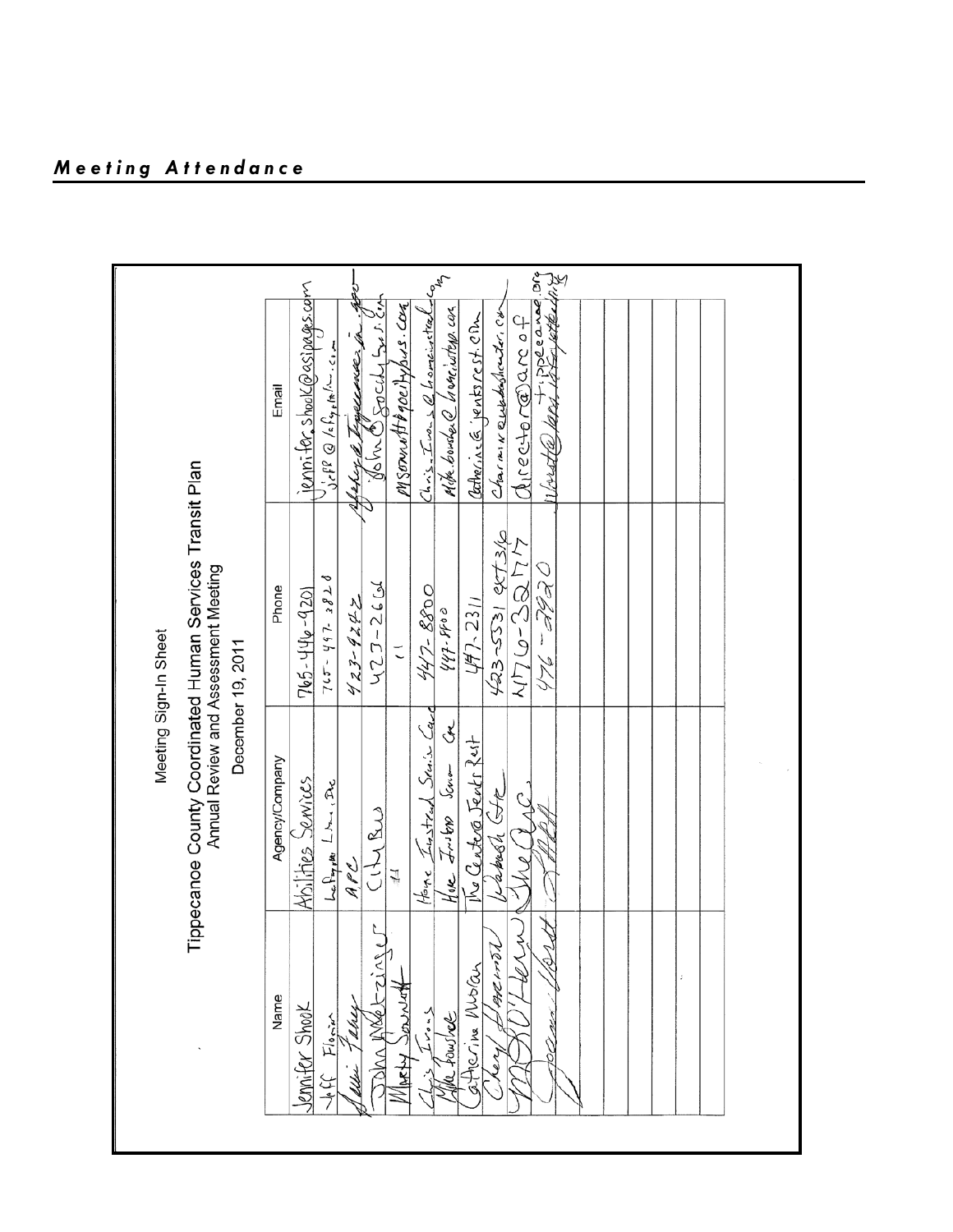|                                                                                                                                      | Tippecanoe County Coordinated Human Services Transit Plan                                                                                                                                                                                                | Annual Review and Assessment Meeting<br>Meeting Sign-In Sheet<br>December 19, 2011                                                                                                                |                                                                                                                                                                                                                                                                                                                                                                                                                                                                        |
|--------------------------------------------------------------------------------------------------------------------------------------|----------------------------------------------------------------------------------------------------------------------------------------------------------------------------------------------------------------------------------------------------------|---------------------------------------------------------------------------------------------------------------------------------------------------------------------------------------------------|------------------------------------------------------------------------------------------------------------------------------------------------------------------------------------------------------------------------------------------------------------------------------------------------------------------------------------------------------------------------------------------------------------------------------------------------------------------------|
| L<br>Y<br>4<br>at 2H<br>atherina Mubran<br>VIARHY JONNAT<br>Name<br>ennifer Shook<br>$\leq$<br>soushed.<br>圧をよる<br>OM AV<br>نها<br>چ | Home <i>Linsteal Senior Card</i><br>Ha <mark>ke Insters</mark> Senom Con<br>The Center Jents Rest<br>Agency/Company<br>Abilities Senvices<br>$L_{\alpha}$ $L_{\gamma}$ , $m_{\gamma}$ , $L_{\gamma}$<br>Labosh Gte<br>CILIBUS<br>$A$ PL<br>$\frac{1}{2}$ | 423-5531 ext3/0<br>$N\Gamma(\omega-3\Omega\Gamma)$<br>0 EBE - 347<br>$7c5 - 465 - 5828$<br>N2J-2601<br>Phone<br>447-8800<br>765-446-9201<br>447-2311<br>$423 - 9242$<br>44.44.44<br>$\vec{\cdot}$ | 2 stragger and 2 straggers of<br>$\frac{C_{4,n+1}}{L_{\infty}}\frac{1}{L_{\infty}}\frac{d}{d}$ from $\frac{1}{L_{\infty}}\frac{1}{L_{\infty}}\frac{1}{L_{\infty}}$<br>jenn <del>i for s</del> hook@asipages.com<br>alahar a Tagacamarsin. A<br>Mike bousher @ Waneiwsterp can<br>Charaine Quebeshouter, Cd<br>Catherine G. jentsrest. CBm<br>$Q$ irector $\widehat{a}$ arcof<br>$\int_{C} f^{\beta} \otimes \int_{C} f_{\varphi_{\beta}} f_{\varphi_{\beta}}$<br>Email |
|                                                                                                                                      |                                                                                                                                                                                                                                                          |                                                                                                                                                                                                   |                                                                                                                                                                                                                                                                                                                                                                                                                                                                        |

9-9

*Meeting Attendance*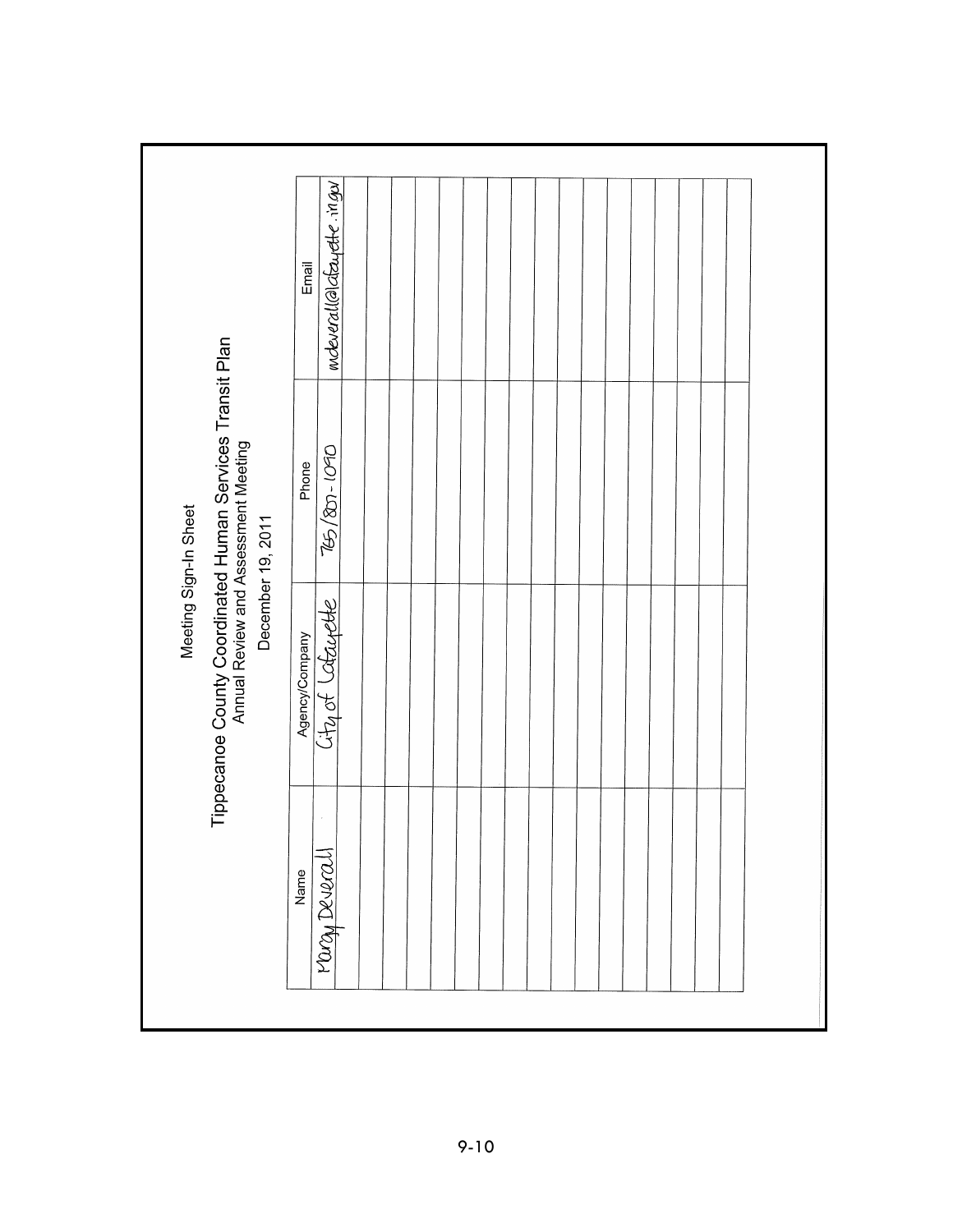|                                                                                                                                                 | Email          | mdeverall@lafayette.ingu |  |  |  |  |  |  |  |  |  |
|-------------------------------------------------------------------------------------------------------------------------------------------------|----------------|--------------------------|--|--|--|--|--|--|--|--|--|
|                                                                                                                                                 | Phone          | 265/801-090              |  |  |  |  |  |  |  |  |  |
| Tippecanoe County Coordinated Human Services Transit Plan<br>Annual Review and Assessment Meeting<br>Meeting Sign-In Sheet<br>December 19, 2011 | Agency/Company | City of Latayette        |  |  |  |  |  |  |  |  |  |
|                                                                                                                                                 | Name           | <u>Mary Deverall</u>     |  |  |  |  |  |  |  |  |  |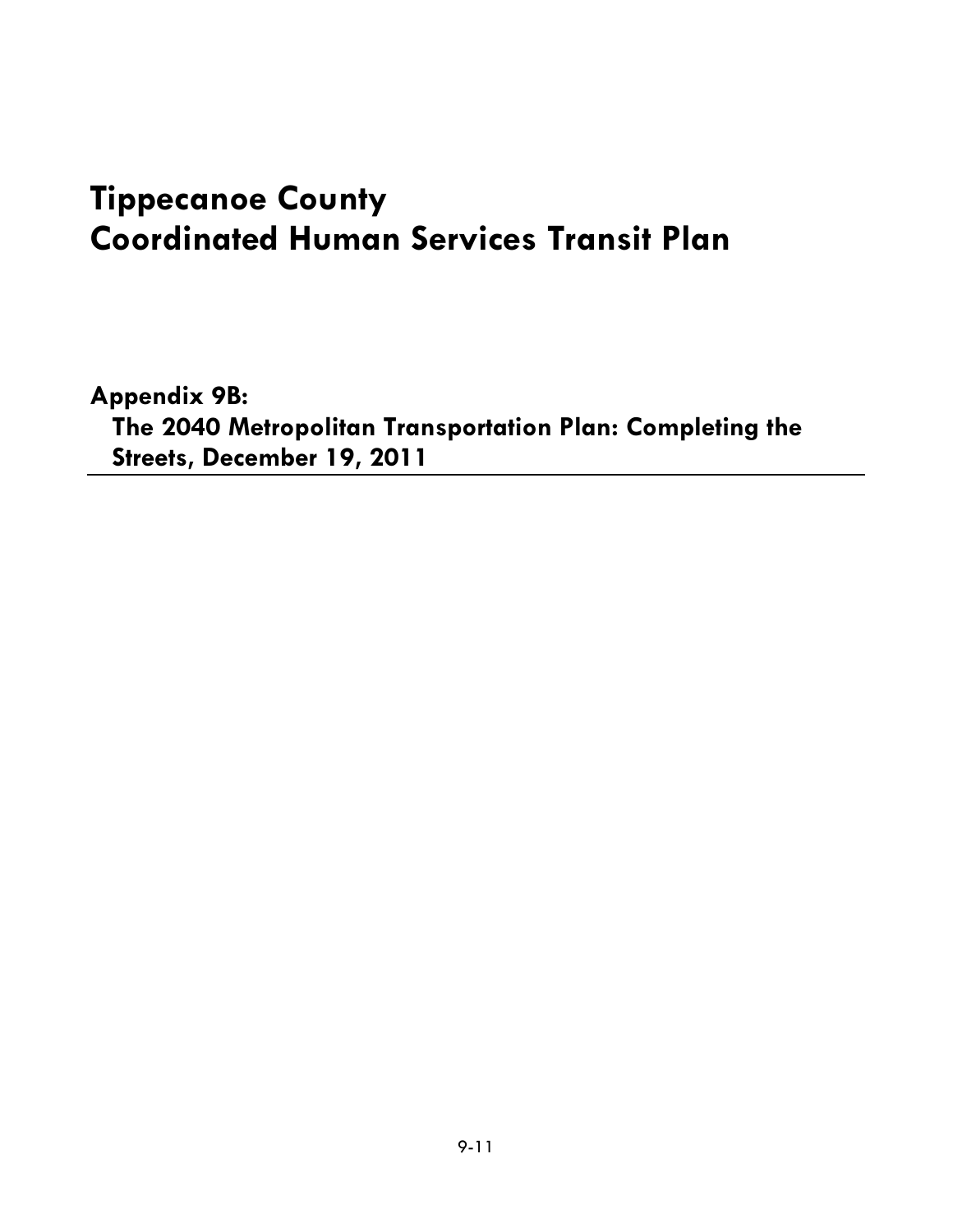# **Tippecanoe County Coordinated Human Services Transit Plan**

**Appendix 9B: The 2040 Metropolitan Transportation Plan: Completing the Streets, December 19, 2011**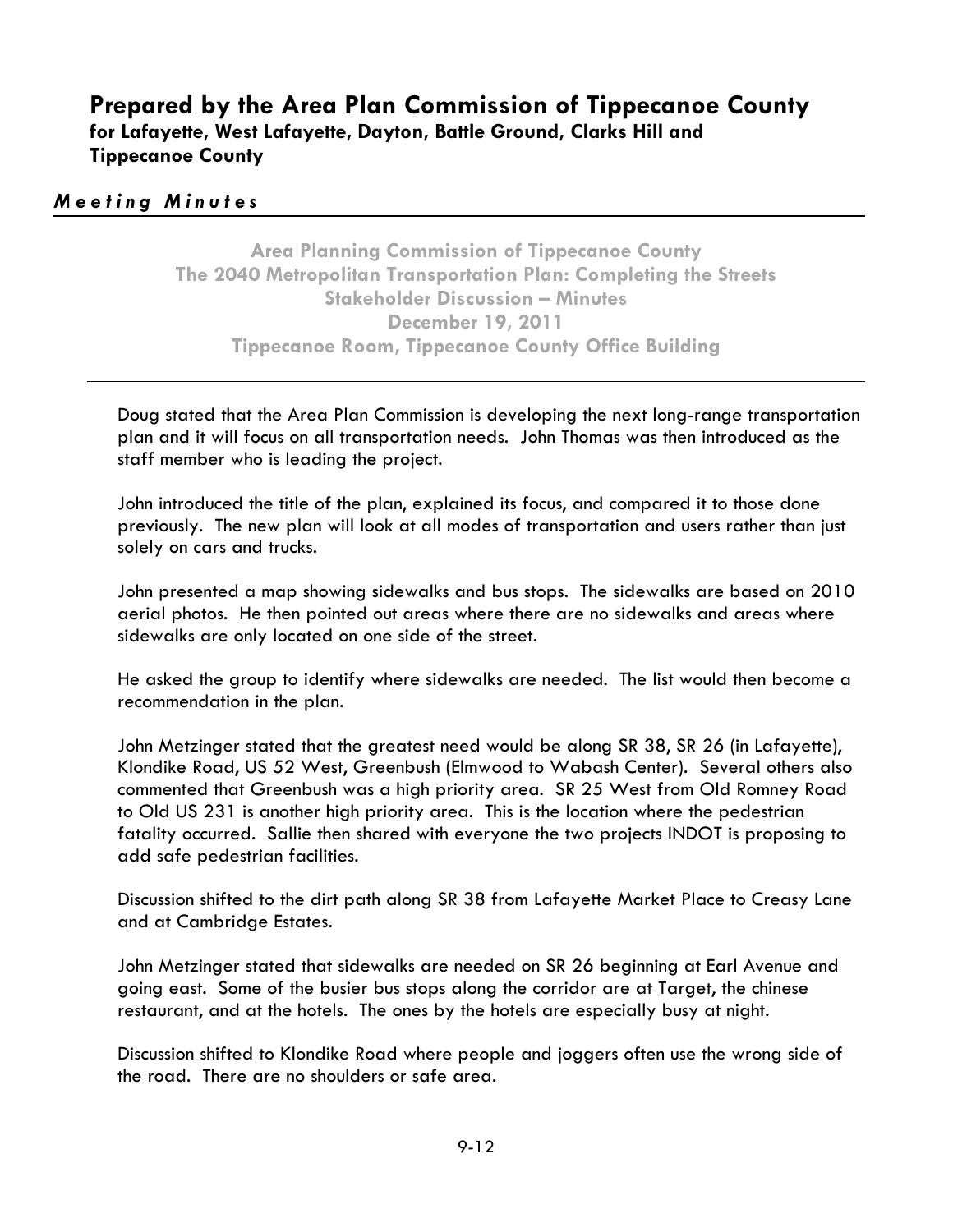### **Prepared by the Area Plan Commission of Tippecanoe County for Lafayette, West Lafayette, Dayton, Battle Ground, Clarks Hill and Tippecanoe County**

#### *Meeting Minutes*

**Area Planning Commission of Tippecanoe County The 2040 Metropolitan Transportation Plan: Completing the Streets Stakeholder Discussion – Minutes December 19, 2011 Tippecanoe Room, Tippecanoe County Office Building**

Doug stated that the Area Plan Commission is developing the next long-range transportation plan and it will focus on all transportation needs. John Thomas was then introduced as the staff member who is leading the project.

John introduced the title of the plan, explained its focus, and compared it to those done previously. The new plan will look at all modes of transportation and users rather than just solely on cars and trucks.

John presented a map showing sidewalks and bus stops. The sidewalks are based on 2010 aerial photos. He then pointed out areas where there are no sidewalks and areas where sidewalks are only located on one side of the street.

He asked the group to identify where sidewalks are needed. The list would then become a recommendation in the plan.

John Metzinger stated that the greatest need would be along SR 38, SR 26 (in Lafayette), Klondike Road, US 52 West, Greenbush (Elmwood to Wabash Center). Several others also commented that Greenbush was a high priority area. SR 25 West from Old Romney Road to Old US 231 is another high priority area. This is the location where the pedestrian fatality occurred. Sallie then shared with everyone the two projects INDOT is proposing to add safe pedestrian facilities.

Discussion shifted to the dirt path along SR 38 from Lafayette Market Place to Creasy Lane and at Cambridge Estates.

John Metzinger stated that sidewalks are needed on SR 26 beginning at Earl Avenue and going east. Some of the busier bus stops along the corridor are at Target, the chinese restaurant, and at the hotels. The ones by the hotels are especially busy at night.

Discussion shifted to Klondike Road where people and joggers often use the wrong side of the road. There are no shoulders or safe area.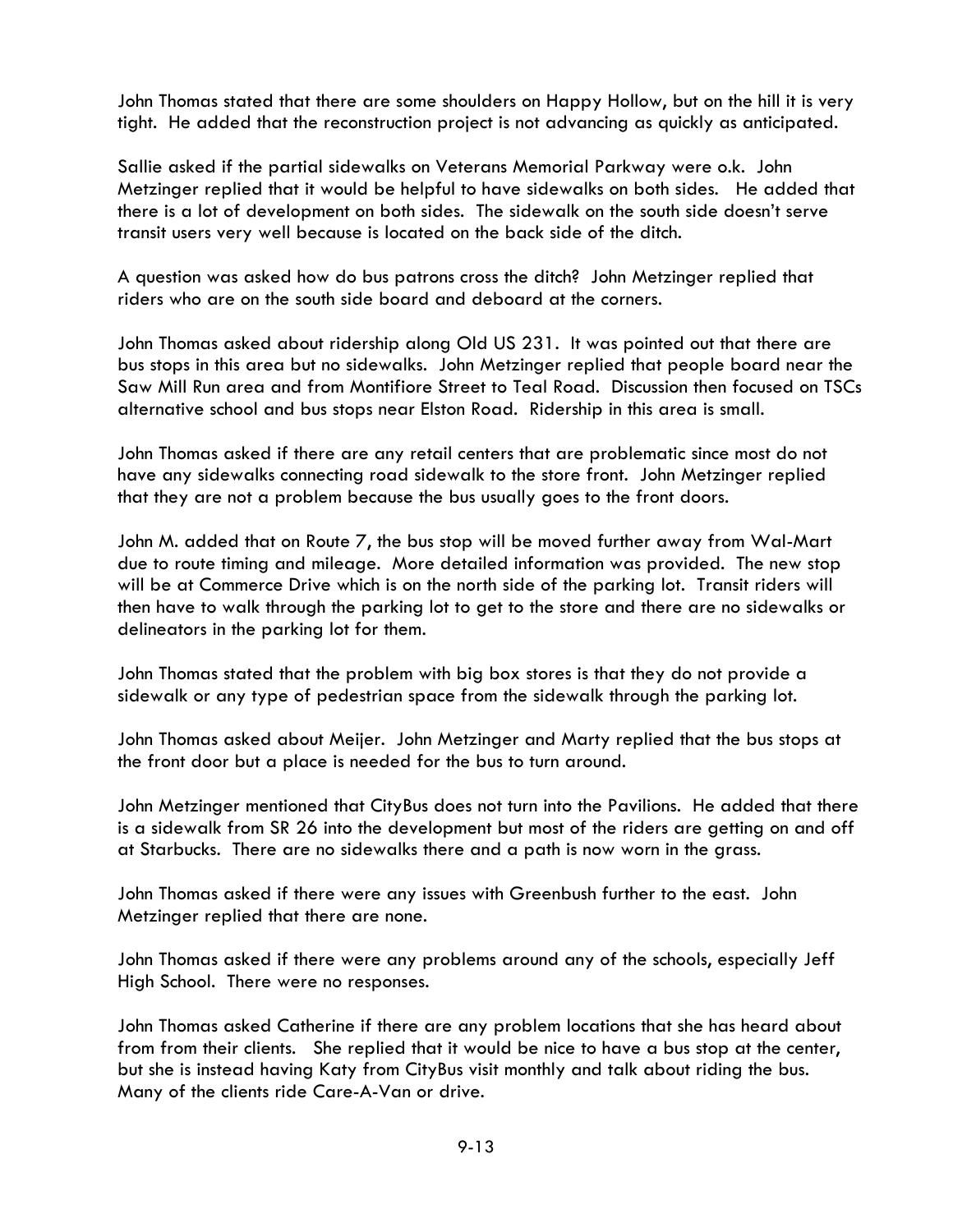John Thomas stated that there are some shoulders on Happy Hollow, but on the hill it is very tight. He added that the reconstruction project is not advancing as quickly as anticipated.

Sallie asked if the partial sidewalks on Veterans Memorial Parkway were o.k. John Metzinger replied that it would be helpful to have sidewalks on both sides. He added that there is a lot of development on both sides. The sidewalk on the south side doesn't serve transit users very well because is located on the back side of the ditch.

A question was asked how do bus patrons cross the ditch? John Metzinger replied that riders who are on the south side board and deboard at the corners.

John Thomas asked about ridership along Old US 231. It was pointed out that there are bus stops in this area but no sidewalks. John Metzinger replied that people board near the Saw Mill Run area and from Montifiore Street to Teal Road. Discussion then focused on TSCs alternative school and bus stops near Elston Road. Ridership in this area is small.

John Thomas asked if there are any retail centers that are problematic since most do not have any sidewalks connecting road sidewalk to the store front. John Metzinger replied that they are not a problem because the bus usually goes to the front doors.

John M. added that on Route 7, the bus stop will be moved further away from Wal-Mart due to route timing and mileage. More detailed information was provided. The new stop will be at Commerce Drive which is on the north side of the parking lot. Transit riders will then have to walk through the parking lot to get to the store and there are no sidewalks or delineators in the parking lot for them.

John Thomas stated that the problem with big box stores is that they do not provide a sidewalk or any type of pedestrian space from the sidewalk through the parking lot.

John Thomas asked about Meijer. John Metzinger and Marty replied that the bus stops at the front door but a place is needed for the bus to turn around.

John Metzinger mentioned that CityBus does not turn into the Pavilions. He added that there is a sidewalk from SR 26 into the development but most of the riders are getting on and off at Starbucks. There are no sidewalks there and a path is now worn in the grass.

John Thomas asked if there were any issues with Greenbush further to the east. John Metzinger replied that there are none.

John Thomas asked if there were any problems around any of the schools, especially Jeff High School. There were no responses.

John Thomas asked Catherine if there are any problem locations that she has heard about from from their clients. She replied that it would be nice to have a bus stop at the center, but she is instead having Katy from CityBus visit monthly and talk about riding the bus. Many of the clients ride Care-A-Van or drive.